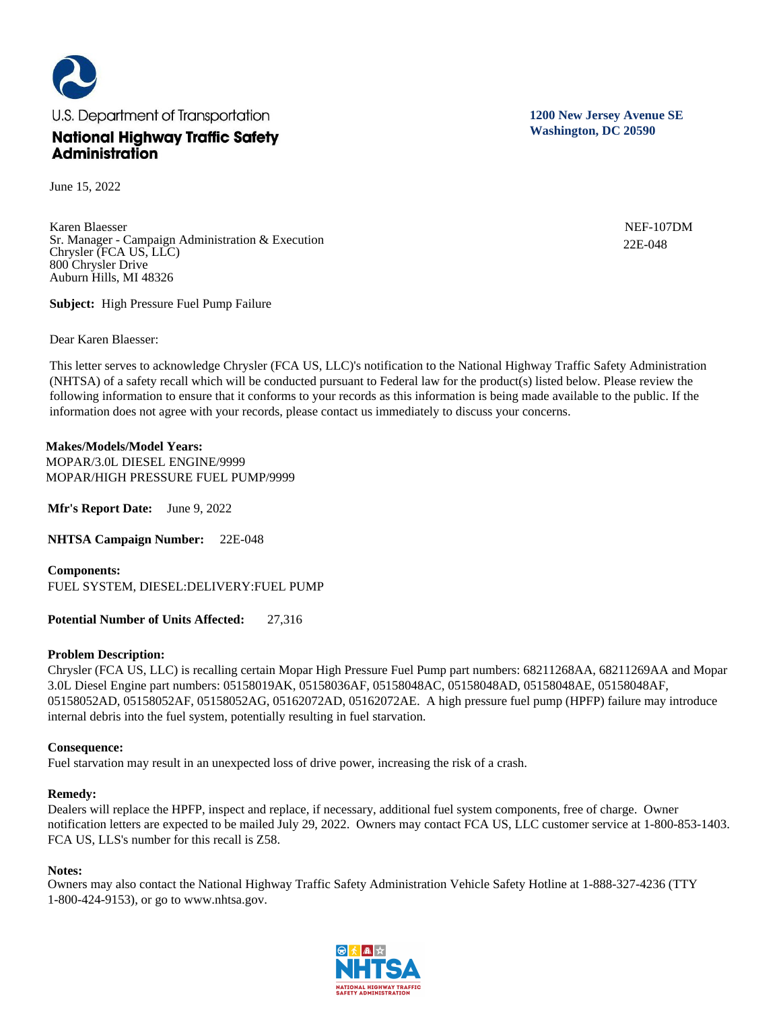

June 15, 2022

Karen Blaesser Sr. Manager - Campaign Administration & Execution Chrysler (FCA US, LLC) 800 Chrysler Drive Auburn Hills, MI 48326

**Subject:** High Pressure Fuel Pump Failure

Dear Karen Blaesser:

This letter serves to acknowledge Chrysler (FCA US, LLC)'s notification to the National Highway Traffic Safety Administration (NHTSA) of a safety recall which will be conducted pursuant to Federal law for the product(s) listed below. Please review the following information to ensure that it conforms to your records as this information is being made available to the public. If the information does not agree with your records, please contact us immediately to discuss your concerns.

# **Makes/Models/Model Years:**  MOPAR/3.0L DIESEL ENGINE/9999 MOPAR/HIGH PRESSURE FUEL PUMP/9999

**Mfr's Report Date:** June 9, 2022

**NHTSA Campaign Number:** 22E-048

**Components:**  FUEL SYSTEM, DIESEL:DELIVERY:FUEL PUMP

**Potential Number of Units Affected:** 27,316

# **Problem Description:**

Chrysler (FCA US, LLC) is recalling certain Mopar High Pressure Fuel Pump part numbers: 68211268AA, 68211269AA and Mopar 3.0L Diesel Engine part numbers: 05158019AK, 05158036AF, 05158048AC, 05158048AD, 05158048AE, 05158048AF, 05158052AD, 05158052AF, 05158052AG, 05162072AD, 05162072AE. A high pressure fuel pump (HPFP) failure may introduce internal debris into the fuel system, potentially resulting in fuel starvation.

# **Consequence:**

Fuel starvation may result in an unexpected loss of drive power, increasing the risk of a crash.

# **Remedy:**

Dealers will replace the HPFP, inspect and replace, if necessary, additional fuel system components, free of charge. Owner notification letters are expected to be mailed July 29, 2022. Owners may contact FCA US, LLC customer service at 1-800-853-1403. FCA US, LLS's number for this recall is Z58.

# **Notes:**

Owners may also contact the National Highway Traffic Safety Administration Vehicle Safety Hotline at 1-888-327-4236 (TTY 1-800-424-9153), or go to www.nhtsa.gov.



**1200 New Jersey Avenue SE Washington, DC 20590**

> NEF-107DM 22E-048